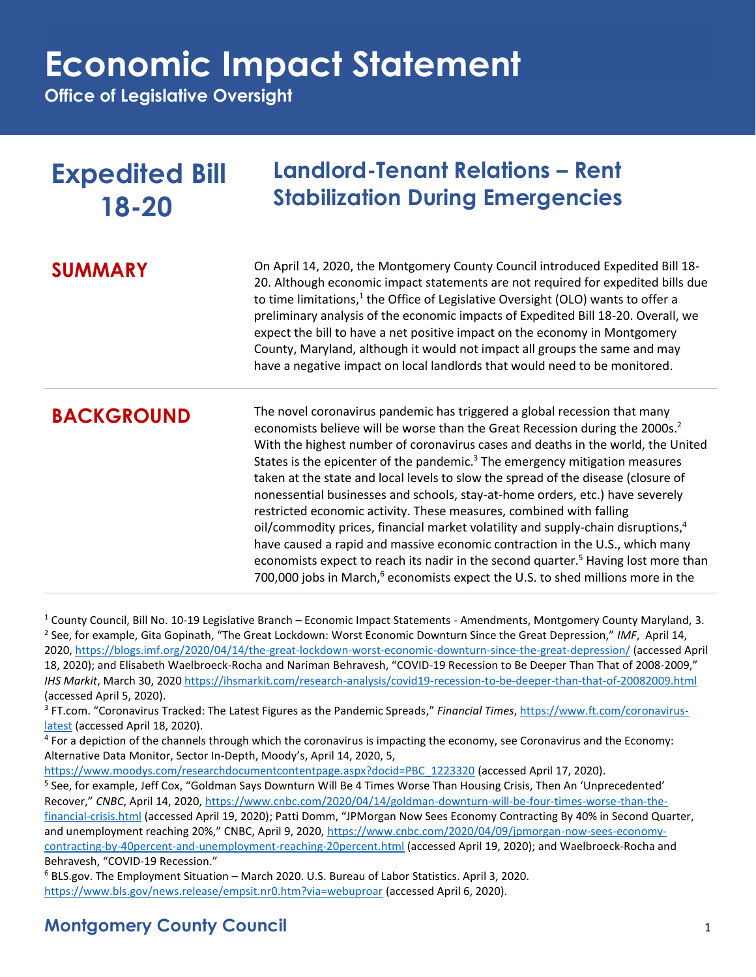**Office of Legislative Oversight**

| <b>Expedited Bill</b><br>18-20 | <b>Landlord-Tenant Relations - Rent</b><br><b>Stabilization During Emergencies</b>                                                                                                                                                                                                                                                                                                                                                                                                                                                                                                                                                                                                                                                                                                                                                                                                                                                                                        |
|--------------------------------|---------------------------------------------------------------------------------------------------------------------------------------------------------------------------------------------------------------------------------------------------------------------------------------------------------------------------------------------------------------------------------------------------------------------------------------------------------------------------------------------------------------------------------------------------------------------------------------------------------------------------------------------------------------------------------------------------------------------------------------------------------------------------------------------------------------------------------------------------------------------------------------------------------------------------------------------------------------------------|
| <b>SUMMARY</b>                 | On April 14, 2020, the Montgomery County Council introduced Expedited Bill 18-<br>20. Although economic impact statements are not required for expedited bills due<br>to time limitations, <sup>1</sup> the Office of Legislative Oversight (OLO) wants to offer a<br>preliminary analysis of the economic impacts of Expedited Bill 18-20. Overall, we<br>expect the bill to have a net positive impact on the economy in Montgomery<br>County, Maryland, although it would not impact all groups the same and may<br>have a negative impact on local landlords that would need to be monitored.                                                                                                                                                                                                                                                                                                                                                                         |
| <b>BACKGROUND</b>              | The novel coronavirus pandemic has triggered a global recession that many<br>economists believe will be worse than the Great Recession during the 2000s. <sup>2</sup><br>With the highest number of coronavirus cases and deaths in the world, the United<br>States is the epicenter of the pandemic. $3$ The emergency mitigation measures<br>taken at the state and local levels to slow the spread of the disease (closure of<br>nonessential businesses and schools, stay-at-home orders, etc.) have severely<br>restricted economic activity. These measures, combined with falling<br>oil/commodity prices, financial market volatility and supply-chain disruptions, <sup>4</sup><br>have caused a rapid and massive economic contraction in the U.S., which many<br>economists expect to reach its nadir in the second quarter. <sup>5</sup> Having lost more than<br>700,000 jobs in March, <sup>6</sup> economists expect the U.S. to shed millions more in the |

 $1$  County Council, Bill No. 10-19 Legislative Branch – Economic Impact Statements - Amendments, Montgomery County Maryland, 3. 2 See, for example, Gita Gopinath, "The Great Lockdown: Worst Economic Downturn Since the Great Depression," *IMF*, April 14, 2020,<https://blogs.imf.org/2020/04/14/the-great-lockdown-worst-economic-downturn-since-the-great-depression/> (accessed April 18, 2020); and Elisabeth Waelbroeck-Rocha and Nariman Behravesh, "COVID-19 Recession to Be Deeper Than That of 2008-2009," *IHS Markit*, March 30, 202[0 https://ihsmarkit.com/research-analysis/covid19-recession-to-be-deeper-than-that-of-20082009.html](https://ihsmarkit.com/research-analysis/covid19-recession-to-be-deeper-than-that-of-20082009.html) (accessed April 5, 2020).

<sup>3</sup> FT.com. "Coronavirus Tracked: The Latest Figures as the Pandemic Spreads," *Financial Times*, [https://www.ft.com/coronavirus](https://www.ft.com/coronavirus-latest)[latest](https://www.ft.com/coronavirus-latest) (accessed April 18, 2020).

<sup>4</sup> For a depiction of the channels through which the coronavirus is impacting the economy, see Coronavirus and the Economy: Alternative Data Monitor, Sector In-Depth, Moody's, April 14, 2020, 5,

[https://www.moodys.com/researchdocumentcontentpage.aspx?docid=PBC\\_1223320](https://www.moodys.com/researchdocumentcontentpage.aspx?docid=PBC_1223320) (accessed April 17, 2020).

<sup>5</sup> See, for example, Jeff Cox, "Goldman Says Downturn Will Be 4 Times Worse Than Housing Crisis, Then An 'Unprecedented' Recover," *CNBC*, April 14, 2020, [https://www.cnbc.com/2020/04/14/goldman-downturn-will-be-four-times-worse-than-the](https://www.cnbc.com/2020/04/14/goldman-downturn-will-be-four-times-worse-than-the-financial-crisis.html)[financial-crisis.html](https://www.cnbc.com/2020/04/14/goldman-downturn-will-be-four-times-worse-than-the-financial-crisis.html) (accessed April 19, 2020); Patti Domm, "JPMorgan Now Sees Economy Contracting By 40% in Second Quarter, and unemployment reaching 20%," CNBC, April 9, 2020, [https://www.cnbc.com/2020/04/09/jpmorgan-now-sees-economy](https://www.cnbc.com/2020/04/09/jpmorgan-now-sees-economy-contracting-by-40percent-and-unemployment-reaching-20percent.html)[contracting-by-40percent-and-unemployment-reaching-20percent.html](https://www.cnbc.com/2020/04/09/jpmorgan-now-sees-economy-contracting-by-40percent-and-unemployment-reaching-20percent.html) (accessed April 19, 2020); and Waelbroeck-Rocha and Behravesh, "COVID-19 Recession."

<sup>6</sup> BLS.gov. The Employment Situation – March 2020. U.S. Bureau of Labor Statistics. April 3, 2020. <https://www.bls.gov/news.release/empsit.nr0.htm?via=webuproar> (accessed April 6, 2020).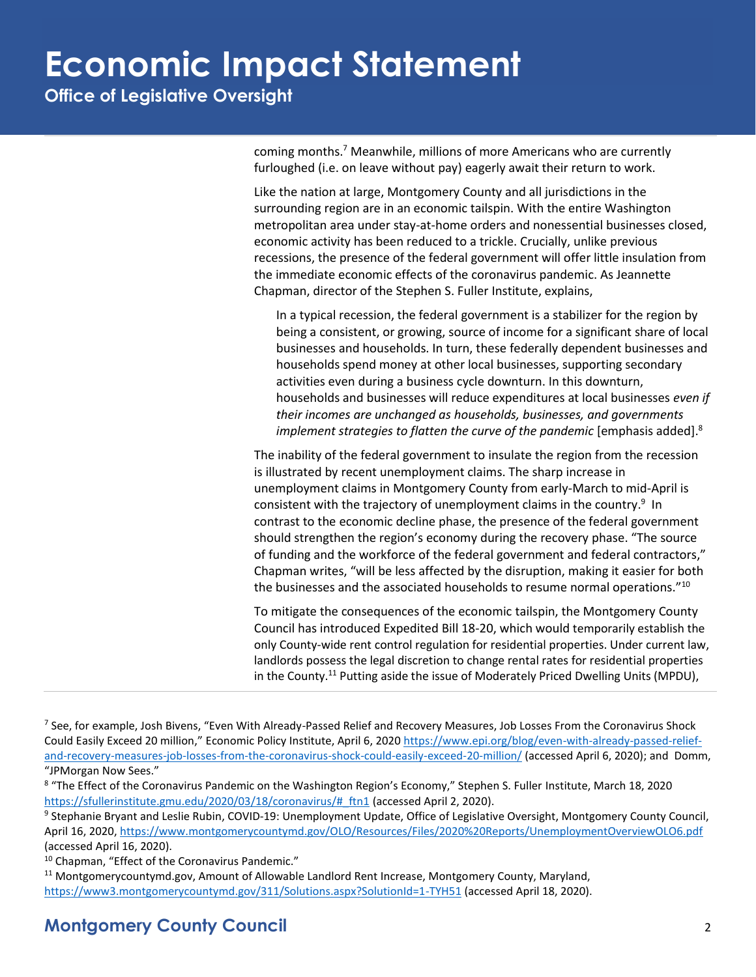**Office of Legislative Oversight**

coming months.<sup>7</sup> Meanwhile, millions of more Americans who are currently furloughed (i.e. on leave without pay) eagerly await their return to work.

Like the nation at large, Montgomery County and all jurisdictions in the surrounding region are in an economic tailspin. With the entire Washington metropolitan area under stay-at-home orders and nonessential businesses closed, economic activity has been reduced to a trickle. Crucially, unlike previous recessions, the presence of the federal government will offer little insulation from the immediate economic effects of the coronavirus pandemic. As Jeannette Chapman, director of the Stephen S. Fuller Institute, explains,

In a typical recession, the federal government is a stabilizer for the region by being a consistent, or growing, source of income for a significant share of local businesses and households. In turn, these federally dependent businesses and households spend money at other local businesses, supporting secondary activities even during a business cycle downturn. In this downturn, households and businesses will reduce expenditures at local businesses *even if their incomes are unchanged as households, businesses, and governments*  implement strategies to flatten the curve of the pandemic [emphasis added].<sup>8</sup>

The inability of the federal government to insulate the region from the recession is illustrated by recent unemployment claims. The sharp increase in unemployment claims in Montgomery County from early-March to mid-April is consistent with the trajectory of unemployment claims in the country.<sup>9</sup> In contrast to the economic decline phase, the presence of the federal government should strengthen the region's economy during the recovery phase. "The source of funding and the workforce of the federal government and federal contractors," Chapman writes, "will be less affected by the disruption, making it easier for both the businesses and the associated households to resume normal operations."<sup>10</sup>

To mitigate the consequences of the economic tailspin, the Montgomery County Council has introduced Expedited Bill 18-20, which would temporarily establish the only County-wide rent control regulation for residential properties. Under current law, landlords possess the legal discretion to change rental rates for residential properties in the County.<sup>11</sup> Putting aside the issue of Moderately Priced Dwelling Units (MPDU),

<sup>&</sup>lt;sup>7</sup> See, for example, Josh Bivens, "Even With Already-Passed Relief and Recovery Measures, Job Losses From the Coronavirus Shock Could Easily Exceed 20 million," Economic Policy Institute, April 6, 2020 [https://www.epi.org/blog/even-with-already-passed-relief](https://www.epi.org/blog/even-with-already-passed-relief-and-recovery-measures-job-losses-from-the-coronavirus-shock-could-easily-exceed-20-million/)[and-recovery-measures-job-losses-from-the-coronavirus-shock-could-easily-exceed-20-million/](https://www.epi.org/blog/even-with-already-passed-relief-and-recovery-measures-job-losses-from-the-coronavirus-shock-could-easily-exceed-20-million/) (accessed April 6, 2020); and Domm, "JPMorgan Now Sees."

<sup>&</sup>lt;sup>8</sup> "The Effect of the Coronavirus Pandemic on the Washington Region's Economy," Stephen S. Fuller Institute, March 18, 2020 [https://sfullerinstitute.gmu.edu/2020/03/18/coronavirus/#\\_ftn1](https://sfullerinstitute.gmu.edu/2020/03/18/coronavirus/#_ftn1) (accessed April 2, 2020).

<sup>&</sup>lt;sup>9</sup> Stephanie Bryant and Leslie Rubin, COVID-19: Unemployment Update, Office of Legislative Oversight, Montgomery County Council, April 16, 2020,<https://www.montgomerycountymd.gov/OLO/Resources/Files/2020%20Reports/UnemploymentOverviewOLO6.pdf> (accessed April 16, 2020).

<sup>&</sup>lt;sup>10</sup> Chapman, "Effect of the Coronavirus Pandemic."

<sup>11</sup> Montgomerycountymd.gov, Amount of Allowable Landlord Rent Increase, Montgomery County, Maryland, <https://www3.montgomerycountymd.gov/311/Solutions.aspx?SolutionId=1-TYH51> (accessed April 18, 2020).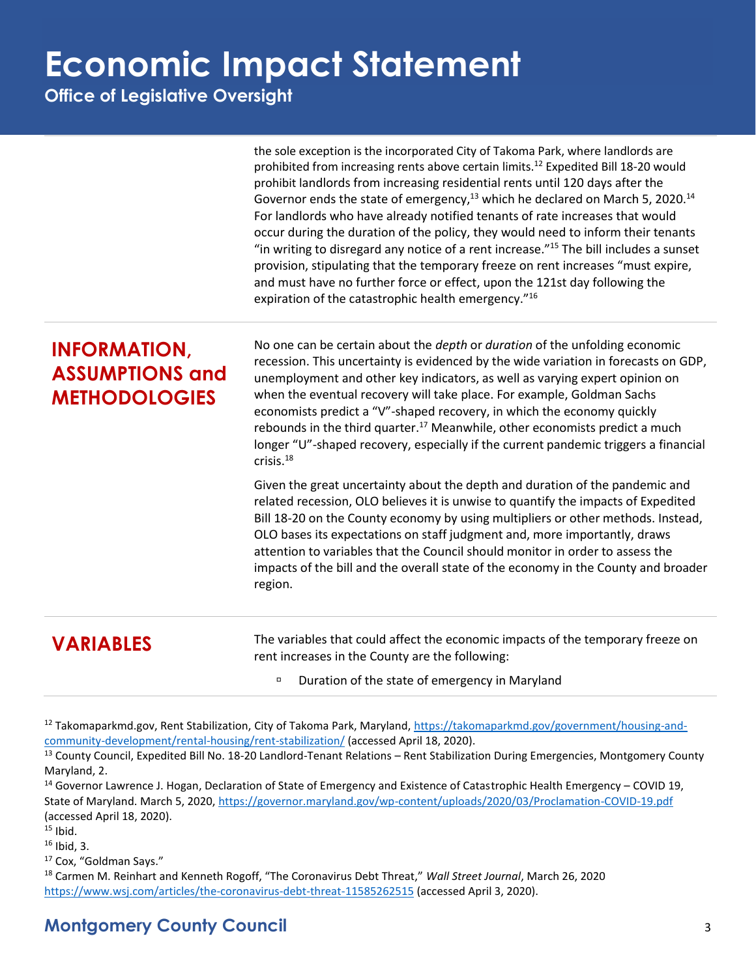**Office of Legislative Oversight**

|                                                                       | the sole exception is the incorporated City of Takoma Park, where landlords are<br>prohibited from increasing rents above certain limits. <sup>12</sup> Expedited Bill 18-20 would<br>prohibit landlords from increasing residential rents until 120 days after the<br>Governor ends the state of emergency, <sup>13</sup> which he declared on March 5, 2020. <sup>14</sup><br>For landlords who have already notified tenants of rate increases that would<br>occur during the duration of the policy, they would need to inform their tenants<br>"in writing to disregard any notice of a rent increase." <sup>15</sup> The bill includes a sunset<br>provision, stipulating that the temporary freeze on rent increases "must expire,<br>and must have no further force or effect, upon the 121st day following the<br>expiration of the catastrophic health emergency."16 |
|-----------------------------------------------------------------------|--------------------------------------------------------------------------------------------------------------------------------------------------------------------------------------------------------------------------------------------------------------------------------------------------------------------------------------------------------------------------------------------------------------------------------------------------------------------------------------------------------------------------------------------------------------------------------------------------------------------------------------------------------------------------------------------------------------------------------------------------------------------------------------------------------------------------------------------------------------------------------|
| <b>INFORMATION,</b><br><b>ASSUMPTIONS and</b><br><b>METHODOLOGIES</b> | No one can be certain about the <i>depth</i> or <i>duration</i> of the unfolding economic<br>recession. This uncertainty is evidenced by the wide variation in forecasts on GDP,<br>unemployment and other key indicators, as well as varying expert opinion on<br>when the eventual recovery will take place. For example, Goldman Sachs<br>economists predict a "V"-shaped recovery, in which the economy quickly<br>rebounds in the third quarter. <sup>17</sup> Meanwhile, other economists predict a much<br>longer "U"-shaped recovery, especially if the current pandemic triggers a financial<br>crisis. <sup>18</sup>                                                                                                                                                                                                                                                 |
|                                                                       | Given the great uncertainty about the depth and duration of the pandemic and<br>related recession, OLO believes it is unwise to quantify the impacts of Expedited<br>Bill 18-20 on the County economy by using multipliers or other methods. Instead,<br>OLO bases its expectations on staff judgment and, more importantly, draws<br>attention to variables that the Council should monitor in order to assess the<br>impacts of the bill and the overall state of the economy in the County and broader<br>region.                                                                                                                                                                                                                                                                                                                                                           |
| <b>VARIABLES</b>                                                      | The variables that could affect the economic impacts of the temporary freeze on<br>$\sim$ $\sigma$ . The second contract $\sim$ $\sim$ 10 $\sim$ $\sim$ $\sim$                                                                                                                                                                                                                                                                                                                                                                                                                                                                                                                                                                                                                                                                                                                 |

rent increases in the County are the following:

□ Duration of the state of emergency in Maryland

12 Takomaparkmd.gov, Rent Stabilization, City of Takoma Park, Maryland[, https://takomaparkmd.gov/government/housing-and](https://takomaparkmd.gov/government/housing-and-community-development/rental-housing/rent-stabilization/)[community-development/rental-housing/rent-stabilization/](https://takomaparkmd.gov/government/housing-and-community-development/rental-housing/rent-stabilization/) (accessed April 18, 2020).

<sup>13</sup> County Council, Expedited Bill No. 18-20 Landlord-Tenant Relations – Rent Stabilization During Emergencies, Montgomery County Maryland, 2.

<sup>14</sup> Governor Lawrence J. Hogan, Declaration of State of Emergency and Existence of Catastrophic Health Emergency – COVID 19, State of Maryland. March 5, 2020,<https://governor.maryland.gov/wp-content/uploads/2020/03/Proclamation-COVID-19.pdf> (accessed April 18, 2020).

 $15$  Ibid.

<sup>16</sup> Ibid, 3.

<sup>17</sup> Cox, "Goldman Says."

<sup>18</sup> Carmen M. Reinhart and Kenneth Rogoff, "The Coronavirus Debt Threat," *Wall Street Journal*, March 26, 2020 <https://www.wsj.com/articles/the-coronavirus-debt-threat-11585262515> (accessed April 3, 2020).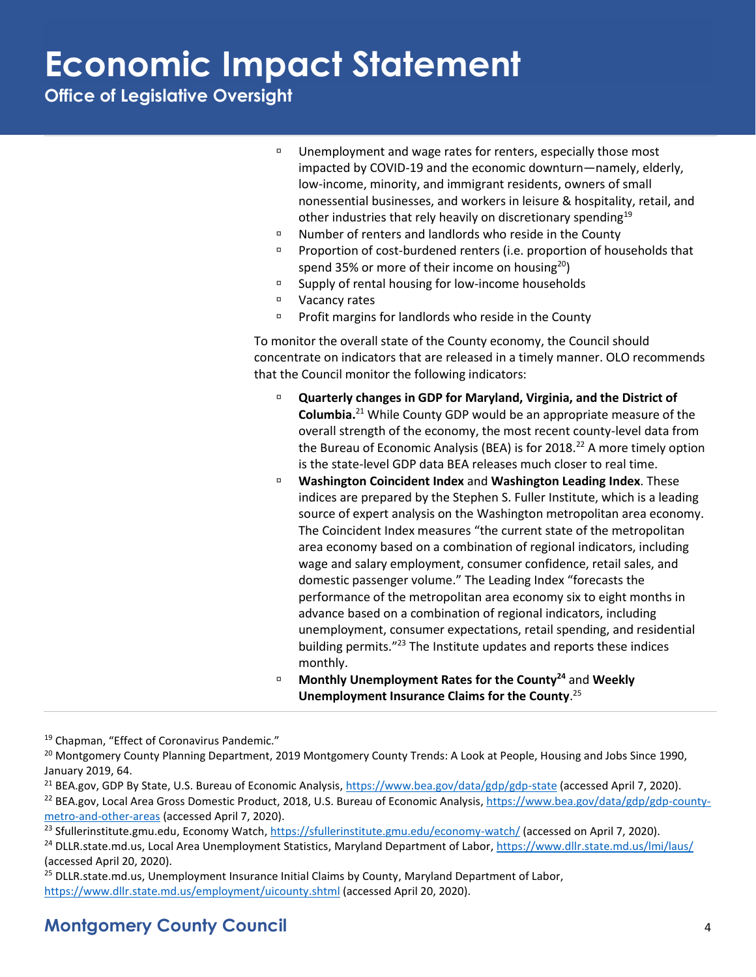**Office of Legislative Oversight**

- □ Unemployment and wage rates for renters, especially those most impacted by COVID-19 and the economic downturn—namely, elderly, low-income, minority, and immigrant residents, owners of small nonessential businesses, and workers in leisure & hospitality, retail, and other industries that rely heavily on discretionary spending<sup>19</sup>
- $\Box$  Number of renters and landlords who reside in the County
- **Proportion of cost-burdened renters (i.e. proportion of households that** spend 35% or more of their income on housing $20$ )
- <sup>D</sup> Supply of rental housing for low-income households
- Vacancy rates
- $P$  Profit margins for landlords who reside in the County

To monitor the overall state of the County economy, the Council should concentrate on indicators that are released in a timely manner. OLO recommends that the Council monitor the following indicators:

- **Quarterly changes in GDP for Maryland, Virginia, and the District of Columbia.**<sup>21</sup> While County GDP would be an appropriate measure of the overall strength of the economy, the most recent county-level data from the Bureau of Economic Analysis (BEA) is for 2018.<sup>22</sup> A more timely option is the state-level GDP data BEA releases much closer to real time.
- **Washington Coincident Index** and **Washington Leading Index**. These indices are prepared by the Stephen S. Fuller Institute, which is a leading source of expert analysis on the Washington metropolitan area economy. The Coincident Index measures "the current state of the metropolitan area economy based on a combination of regional indicators, including wage and salary employment, consumer confidence, retail sales, and domestic passenger volume." The Leading Index "forecasts the performance of the metropolitan area economy six to eight months in advance based on a combination of regional indicators, including unemployment, consumer expectations, retail spending, and residential building permits."<sup>23</sup> The Institute updates and reports these indices monthly.
- **Monthly Unemployment Rates for the County<sup>24</sup>** and **Weekly Unemployment Insurance Claims for the County**. 25

<sup>19</sup> Chapman, "Effect of Coronavirus Pandemic."

<sup>&</sup>lt;sup>20</sup> Montgomery County Planning Department, 2019 Montgomery County Trends: A Look at People, Housing and Jobs Since 1990, January 2019, 64.

<sup>&</sup>lt;sup>21</sup> BEA.gov, GDP By State, U.S. Bureau of Economic Analysis, <https://www.bea.gov/data/gdp/gdp-state> (accessed April 7, 2020).

<sup>&</sup>lt;sup>22</sup> BEA.gov, Local Area Gross Domestic Product, 2018, U.S. Bureau of Economic Analysis, [https://www.bea.gov/data/gdp/gdp-county](https://www.bea.gov/data/gdp/gdp-county-metro-and-other-areas)[metro-and-other-areas](https://www.bea.gov/data/gdp/gdp-county-metro-and-other-areas) (accessed April 7, 2020).

<sup>&</sup>lt;sup>23</sup> Sfullerinstitute.gmu.edu, Economy Watch, <https://sfullerinstitute.gmu.edu/economy-watch/> (accessed on April 7, 2020).

<sup>24</sup> DLLR.state.md.us, Local Area Unemployment Statistics, Maryland Department of Labor,<https://www.dllr.state.md.us/lmi/laus/> (accessed April 20, 2020).

<sup>&</sup>lt;sup>25</sup> DLLR.state.md.us, Unemployment Insurance Initial Claims by County, Maryland Department of Labor, <https://www.dllr.state.md.us/employment/uicounty.shtml> (accessed April 20, 2020).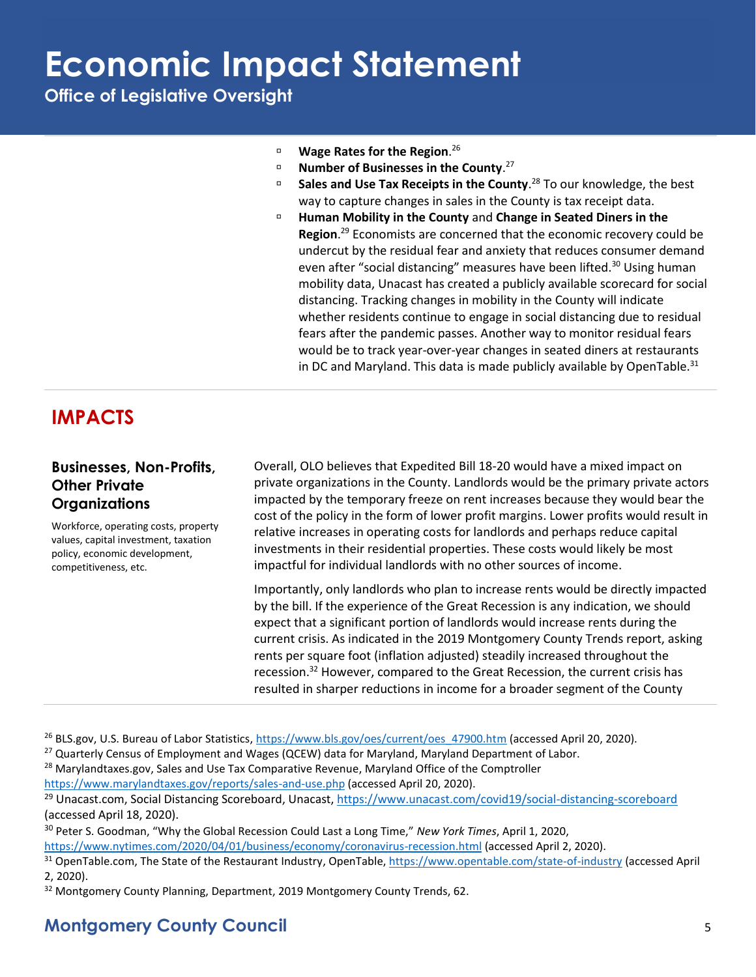**Office of Legislative Oversight**

- **Wage Rates for the Region**. 26
- **Number of Businesses in the County.**<sup>27</sup>
- **Sales and Use Tax Receipts in the County**. <sup>28</sup> To our knowledge, the best way to capture changes in sales in the County is tax receipt data.
- **Human Mobility in the County** and **Change in Seated Diners in the Region**. <sup>29</sup> Economists are concerned that the economic recovery could be undercut by the residual fear and anxiety that reduces consumer demand even after "social distancing" measures have been lifted.<sup>30</sup> Using human mobility data, Unacast has created a publicly available scorecard for social distancing. Tracking changes in mobility in the County will indicate whether residents continue to engage in social distancing due to residual fears after the pandemic passes. Another way to monitor residual fears would be to track year-over-year changes in seated diners at restaurants in DC and Maryland. This data is made publicly available by OpenTable. $31$

### **IMPACTS**

#### **Businesses, Non-Profits, Other Private Organizations**

Workforce, operating costs, property values, capital investment, taxation policy, economic development, competitiveness, etc.

Overall, OLO believes that Expedited Bill 18-20 would have a mixed impact on private organizations in the County. Landlords would be the primary private actors impacted by the temporary freeze on rent increases because they would bear the cost of the policy in the form of lower profit margins. Lower profits would result in relative increases in operating costs for landlords and perhaps reduce capital investments in their residential properties. These costs would likely be most impactful for individual landlords with no other sources of income.

Importantly, only landlords who plan to increase rents would be directly impacted by the bill. If the experience of the Great Recession is any indication, we should expect that a significant portion of landlords would increase rents during the current crisis. As indicated in the 2019 Montgomery County Trends report, asking rents per square foot (inflation adjusted) steadily increased throughout the recession.<sup>32</sup> However, compared to the Great Recession, the current crisis has resulted in sharper reductions in income for a broader segment of the County

- <sup>26</sup> BLS.gov, U.S. Bureau of Labor Statistics, [https://www.bls.gov/oes/current/oes\\_47900.htm](https://www.bls.gov/oes/current/oes_47900.htm) (accessed April 20, 2020).
- <sup>27</sup> Quarterly Census of Employment and Wages (QCEW) data for Maryland, Maryland Department of Labor.
- <sup>28</sup> Marylandtaxes.gov, Sales and Use Tax Comparative Revenue, Maryland Office of the Comptroller

<https://www.marylandtaxes.gov/reports/sales-and-use.php> (accessed April 20, 2020).

<sup>29</sup> Unacast.com, Social Distancing Scoreboard, Unacast, <https://www.unacast.com/covid19/social-distancing-scoreboard> (accessed April 18, 2020).

<sup>30</sup> Peter S. Goodman, "Why the Global Recession Could Last a Long Time," *New York Times*, April 1, 2020, <https://www.nytimes.com/2020/04/01/business/economy/coronavirus-recession.html> (accessed April 2, 2020).

<sup>&</sup>lt;sup>31</sup> OpenTable.com, The State of the Restaurant Industry, OpenTable,<https://www.opentable.com/state-of-industry> (accessed April 2, 2020).

<sup>&</sup>lt;sup>32</sup> Montgomery County Planning, Department, 2019 Montgomery County Trends, 62.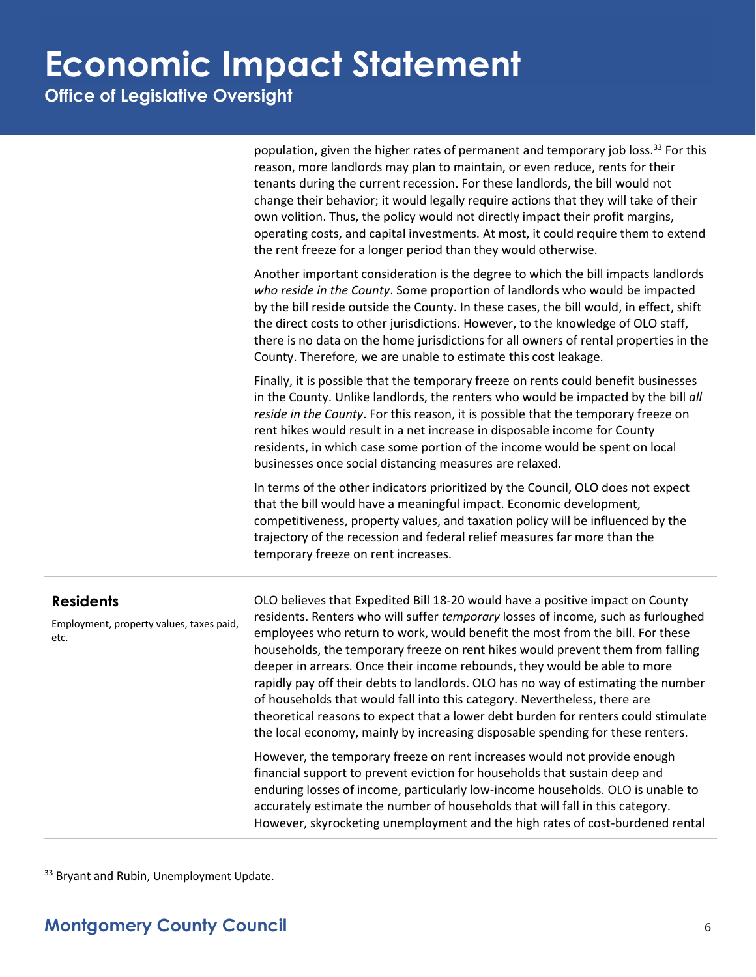**Office of Legislative Oversight**

population, given the higher rates of permanent and temporary job loss.<sup>33</sup> For this reason, more landlords may plan to maintain, or even reduce, rents for their tenants during the current recession. For these landlords, the bill would not change their behavior; it would legally require actions that they will take of their own volition. Thus, the policy would not directly impact their profit margins, operating costs, and capital investments. At most, it could require them to extend the rent freeze for a longer period than they would otherwise.

Another important consideration is the degree to which the bill impacts landlords *who reside in the County*. Some proportion of landlords who would be impacted by the bill reside outside the County. In these cases, the bill would, in effect, shift the direct costs to other jurisdictions. However, to the knowledge of OLO staff, there is no data on the home jurisdictions for all owners of rental properties in the County. Therefore, we are unable to estimate this cost leakage.

Finally, it is possible that the temporary freeze on rents could benefit businesses in the County. Unlike landlords, the renters who would be impacted by the bill *all reside in the County*. For this reason, it is possible that the temporary freeze on rent hikes would result in a net increase in disposable income for County residents, in which case some portion of the income would be spent on local businesses once social distancing measures are relaxed.

In terms of the other indicators prioritized by the Council, OLO does not expect that the bill would have a meaningful impact. Economic development, competitiveness, property values, and taxation policy will be influenced by the trajectory of the recession and federal relief measures far more than the temporary freeze on rent increases.

#### **Residents**

Employment, property values, taxes paid, etc.

OLO believes that Expedited Bill 18-20 would have a positive impact on County residents. Renters who will suffer *temporary* losses of income, such as furloughed employees who return to work, would benefit the most from the bill. For these households, the temporary freeze on rent hikes would prevent them from falling deeper in arrears. Once their income rebounds, they would be able to more rapidly pay off their debts to landlords. OLO has no way of estimating the number of households that would fall into this category. Nevertheless, there are theoretical reasons to expect that a lower debt burden for renters could stimulate the local economy, mainly by increasing disposable spending for these renters.

However, the temporary freeze on rent increases would not provide enough financial support to prevent eviction for households that sustain deep and enduring losses of income, particularly low-income households. OLO is unable to accurately estimate the number of households that will fall in this category. However, skyrocketing unemployment and the high rates of cost-burdened rental

<sup>33</sup> Bryant and Rubin, Unemployment Update.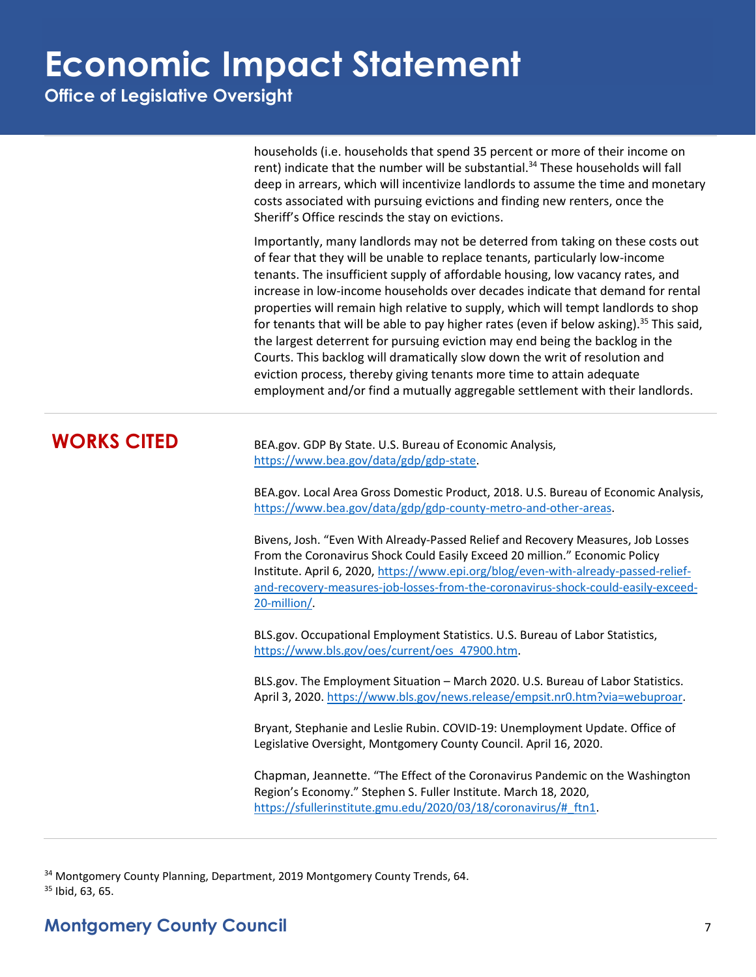**Office of Legislative Oversight**

households (i.e. households that spend 35 percent or more of their income on rent) indicate that the number will be substantial.<sup>34</sup> These households will fall deep in arrears, which will incentivize landlords to assume the time and monetary costs associated with pursuing evictions and finding new renters, once the Sheriff's Office rescinds the stay on evictions.

Importantly, many landlords may not be deterred from taking on these costs out of fear that they will be unable to replace tenants, particularly low-income tenants. The insufficient supply of affordable housing, low vacancy rates, and increase in low-income households over decades indicate that demand for rental properties will remain high relative to supply, which will tempt landlords to shop for tenants that will be able to pay higher rates (even if below asking).<sup>35</sup> This said, the largest deterrent for pursuing eviction may end being the backlog in the Courts. This backlog will dramatically slow down the writ of resolution and eviction process, thereby giving tenants more time to attain adequate employment and/or find a mutually aggregable settlement with their landlords.

**WORKS CITED** BEA.gov. GDP By State. U.S. Bureau of Economic Analysis, [https://www.bea.gov/data/gdp/gdp-state.](https://www.bea.gov/data/gdp/gdp-state)

> BEA.gov. Local Area Gross Domestic Product, 2018. U.S. Bureau of Economic Analysis, [https://www.bea.gov/data/gdp/gdp-county-metro-and-other-areas.](https://www.bea.gov/data/gdp/gdp-county-metro-and-other-areas)

Bivens, Josh. "Even With Already-Passed Relief and Recovery Measures, Job Losses From the Coronavirus Shock Could Easily Exceed 20 million." Economic Policy Institute. April 6, 2020, [https://www.epi.org/blog/even-with-already-passed-relief](https://www.epi.org/blog/even-with-already-passed-relief-and-recovery-measures-job-losses-from-the-coronavirus-shock-could-easily-exceed-20-million/)[and-recovery-measures-job-losses-from-the-coronavirus-shock-could-easily-exceed-](https://www.epi.org/blog/even-with-already-passed-relief-and-recovery-measures-job-losses-from-the-coronavirus-shock-could-easily-exceed-20-million/)[20-million/.](https://www.epi.org/blog/even-with-already-passed-relief-and-recovery-measures-job-losses-from-the-coronavirus-shock-could-easily-exceed-20-million/)

BLS.gov. Occupational Employment Statistics. U.S. Bureau of Labor Statistics, [https://www.bls.gov/oes/current/oes\\_47900.htm.](https://www.bls.gov/oes/current/oes_47900.htm)

BLS.gov. The Employment Situation – March 2020. U.S. Bureau of Labor Statistics. April 3, 2020. [https://www.bls.gov/news.release/empsit.nr0.htm?via=webuproar.](https://www.bls.gov/news.release/empsit.nr0.htm?via=webuproar)

Bryant, Stephanie and Leslie Rubin. COVID-19: Unemployment Update. Office of Legislative Oversight, Montgomery County Council. April 16, 2020.

Chapman, Jeannette. "The Effect of the Coronavirus Pandemic on the Washington Region's Economy." Stephen S. Fuller Institute. March 18, 2020, [https://sfullerinstitute.gmu.edu/2020/03/18/coronavirus/#\\_ftn1.](https://sfullerinstitute.gmu.edu/2020/03/18/coronavirus/#_ftn1)

<sup>34</sup> Montgomery County Planning, Department, 2019 Montgomery County Trends, 64.  $35$  Ibid, 63, 65.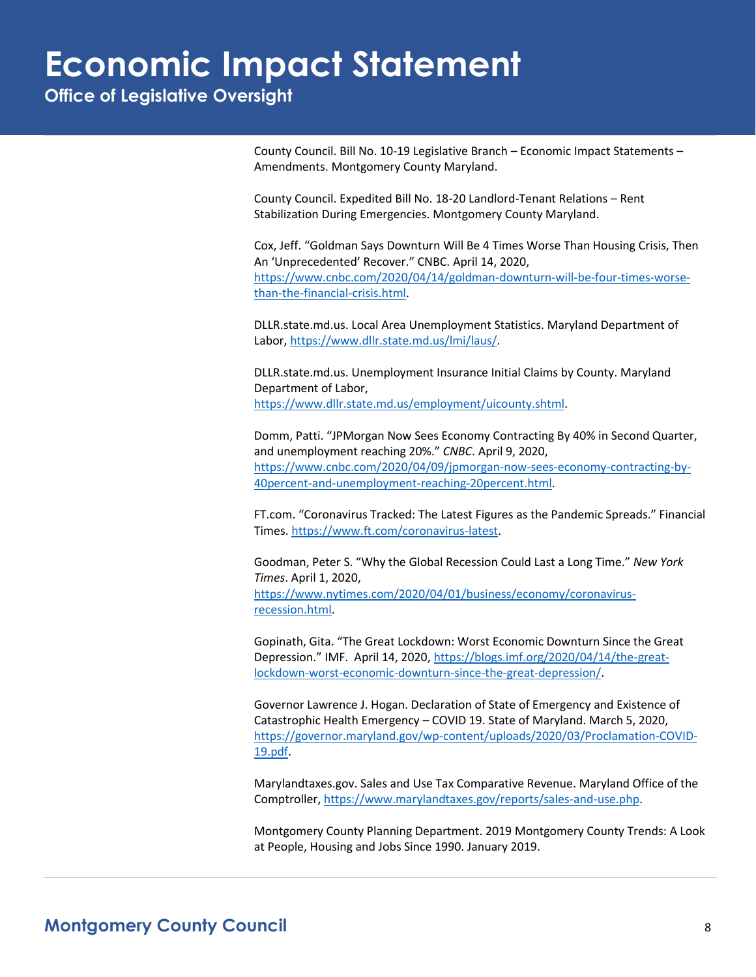**Office of Legislative Oversight**

County Council. Bill No. 10-19 Legislative Branch – Economic Impact Statements – Amendments. Montgomery County Maryland.

County Council. Expedited Bill No. 18-20 Landlord-Tenant Relations – Rent Stabilization During Emergencies. Montgomery County Maryland.

Cox, Jeff. "Goldman Says Downturn Will Be 4 Times Worse Than Housing Crisis, Then An 'Unprecedented' Recover." CNBC. April 14, 2020, [https://www.cnbc.com/2020/04/14/goldman-downturn-will-be-four-times-worse](https://www.cnbc.com/2020/04/14/goldman-downturn-will-be-four-times-worse-than-the-financial-crisis.html)[than-the-financial-crisis.html.](https://www.cnbc.com/2020/04/14/goldman-downturn-will-be-four-times-worse-than-the-financial-crisis.html)

DLLR.state.md.us. Local Area Unemployment Statistics. Maryland Department of Labor, [https://www.dllr.state.md.us/lmi/laus/.](https://www.dllr.state.md.us/lmi/laus/)

DLLR.state.md.us. Unemployment Insurance Initial Claims by County. Maryland Department of Labor, [https://www.dllr.state.md.us/employment/uicounty.shtml.](https://www.dllr.state.md.us/employment/uicounty.shtml)

Domm, Patti. "JPMorgan Now Sees Economy Contracting By 40% in Second Quarter, and unemployment reaching 20%." *CNBC*. April 9, 2020, [https://www.cnbc.com/2020/04/09/jpmorgan-now-sees-economy-contracting-by-](https://www.cnbc.com/2020/04/09/jpmorgan-now-sees-economy-contracting-by-40percent-and-unemployment-reaching-20percent.html)[40percent-and-unemployment-reaching-20percent.html.](https://www.cnbc.com/2020/04/09/jpmorgan-now-sees-economy-contracting-by-40percent-and-unemployment-reaching-20percent.html)

FT.com. "Coronavirus Tracked: The Latest Figures as the Pandemic Spreads." Financial Times. [https://www.ft.com/coronavirus-latest.](https://www.ft.com/coronavirus-latest)

Goodman, Peter S. "Why the Global Recession Could Last a Long Time." *New York Times*. April 1, 2020, [https://www.nytimes.com/2020/04/01/business/economy/coronavirus](https://www.nytimes.com/2020/04/01/business/economy/coronavirus-recession.html)[recession.html.](https://www.nytimes.com/2020/04/01/business/economy/coronavirus-recession.html)

Gopinath, Gita. "The Great Lockdown: Worst Economic Downturn Since the Great Depression." IMF. April 14, 2020, [https://blogs.imf.org/2020/04/14/the-great](https://blogs.imf.org/2020/04/14/the-great-lockdown-worst-economic-downturn-since-the-great-depression/)[lockdown-worst-economic-downturn-since-the-great-depression/.](https://blogs.imf.org/2020/04/14/the-great-lockdown-worst-economic-downturn-since-the-great-depression/)

Governor Lawrence J. Hogan. Declaration of State of Emergency and Existence of Catastrophic Health Emergency – COVID 19. State of Maryland. March 5, 2020, [https://governor.maryland.gov/wp-content/uploads/2020/03/Proclamation-COVID-](https://governor.maryland.gov/wp-content/uploads/2020/03/Proclamation-COVID-19.pdf)[19.pdf.](https://governor.maryland.gov/wp-content/uploads/2020/03/Proclamation-COVID-19.pdf)

Marylandtaxes.gov. Sales and Use Tax Comparative Revenue. Maryland Office of the Comptroller[, https://www.marylandtaxes.gov/reports/sales-and-use.php.](https://www.marylandtaxes.gov/reports/sales-and-use.php)

Montgomery County Planning Department. 2019 Montgomery County Trends: A Look at People, Housing and Jobs Since 1990. January 2019.